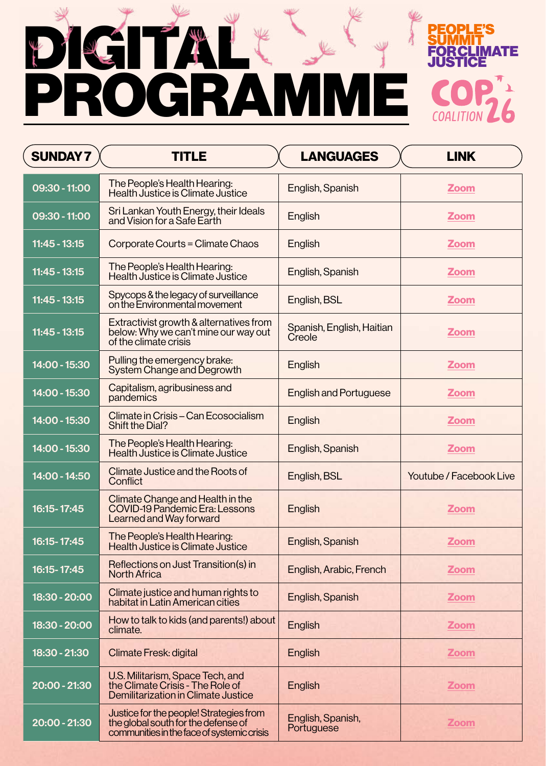

## FORCLINATE PROGRAMME

| <b>SUNDAY7</b>  | TITLE                                                                                                                        | <b>LANGUAGES</b>                    | <b>LINK</b>                    |
|-----------------|------------------------------------------------------------------------------------------------------------------------------|-------------------------------------|--------------------------------|
| 09:30 - 11:00   | The People's Health Hearing:<br><b>Health Justice is Climate Justice</b>                                                     | English, Spanish                    | <b>Zoom</b>                    |
| 09:30 - 11:00   | Sri Lankan Youth Energy, their Ideals<br>and Vision for a Safe Earth                                                         | English                             | <b>Zoom</b>                    |
| $11:45 - 13:15$ | Corporate Courts = Climate Chaos                                                                                             | English                             | <b>Zoom</b>                    |
| $11:45 - 13:15$ | The People's Health Hearing:<br><b>Health Justice is Climate Justice</b>                                                     | English, Spanish                    | <b>Zoom</b>                    |
| $11:45 - 13:15$ | Spycops & the legacy of surveillance<br>on the Environmental movement                                                        | English, BSL                        | <b>Zoom</b>                    |
| $11:45 - 13:15$ | Extractivist growth & alternatives from<br>below: Why we can't mine our way out<br>of the climate crisis                     | Spanish, English, Haitian<br>Creole | <b>Zoom</b>                    |
| 14:00 - 15:30   | Pulling the emergency brake:<br>System Change and Degrowth                                                                   | English                             | <b>Zoom</b>                    |
| 14:00 - 15:30   | Capitalism, agribusiness and<br>pandemics                                                                                    | <b>English and Portuguese</b>       | <b>Zoom</b>                    |
| 14:00 - 15:30   | Climate in Crisis - Can Ecosocialism<br><b>Shift the Dial?</b>                                                               | <b>English</b>                      | <b>Zoom</b>                    |
| 14:00 - 15:30   | The People's Health Hearing:<br><b>Health Justice is Climate Justice</b>                                                     | English, Spanish                    | <b>Zoom</b>                    |
| 14:00 - 14:50   | Climate Justice and the Roots of<br><b>Conflict</b>                                                                          | English, BSL                        | <b>Youtube / Facebook Live</b> |
| 16:15-17:45     | Climate Change and Health in the<br><b>COVID-19 Pandemic Era: Lessons</b><br><b>Learned and Way forward</b>                  | English                             | <b>Zoom</b>                    |
| 16:15-17:45     | The People's Health Hearing:<br><b>Health Justice is Climate Justice</b>                                                     | English, Spanish                    | <b>Zoom</b>                    |
| 16:15-17:45     | Reflections on Just Transition(s) in<br><b>North Africa</b>                                                                  | English, Arabic, French             | <b>Zoom</b>                    |
| 18:30 - 20:00   | Climate justice and human rights to<br>habitat in Latin American cities                                                      | English, Spanish                    | <b>Zoom</b>                    |
| 18:30 - 20:00   | How to talk to kids (and parents!) about<br>climate.                                                                         | English                             | <b>Zoom</b>                    |
| 18:30 - 21:30   | <b>Climate Fresk: digital</b>                                                                                                | English                             | <b>Zoom</b>                    |
| 20:00 - 21:30   | U.S. Militarism, Space Tech, and<br>the Climate Crisis - The Role of<br>Demilitarization in Climate Justice                  | English                             | <b>Zoom</b>                    |
| 20:00 - 21:30   | Justice for the people! Strategies from<br>the global south for the defense of<br>communities in the face of systemic crisis | English, Spanish,<br>Portuguese     | <b>Zoom</b>                    |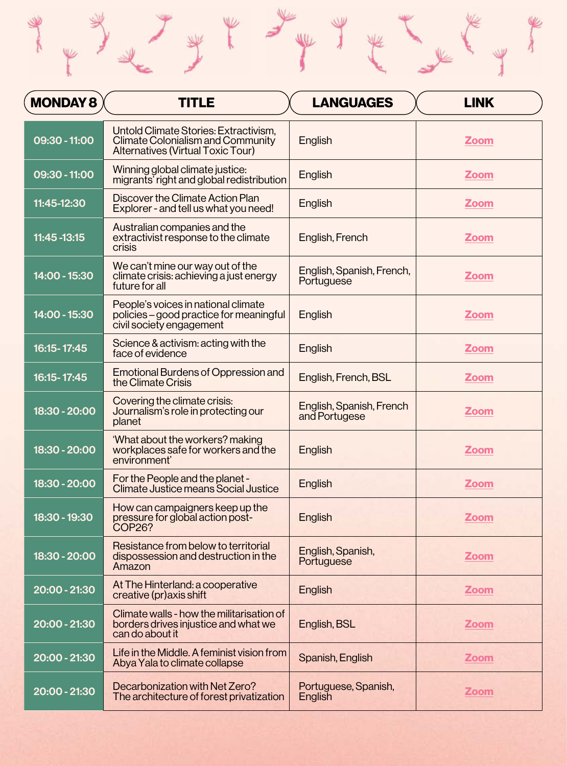| <b>MONDAY 8</b> | <b>TITLE</b>                                                                                                                  | <b>LANGUAGES</b>                          | <b>LINK</b> |
|-----------------|-------------------------------------------------------------------------------------------------------------------------------|-------------------------------------------|-------------|
| 09:30 - 11:00   | Untold Climate Stories: Extractivism,<br><b>Climate Colonialism and Community</b><br><b>Alternatives (Virtual Toxic Tour)</b> | English                                   | <b>Zoom</b> |
| 09:30 - 11:00   | Winning global climate justice:<br>migrants' right and global redistribution                                                  | <b>English</b>                            | <b>Zoom</b> |
| 11:45-12:30     | Discover the Climate Action Plan<br>Explorer - and tell us what you need!                                                     | English                                   | <b>Zoom</b> |
| 11:45 - 13:15   | Australian companies and the<br>extractivist response to the climate<br><b>crisis</b>                                         | English, French                           | <b>Zoom</b> |
| 14:00 - 15:30   | We can't mine our way out of the<br>climate crisis: achieving a just energy<br>future for all                                 | English, Spanish, French,<br>Portuguese   | <b>Zoom</b> |
| 14:00 - 15:30   | People's voices in national climate<br>policies – good practice for meaningful<br>civil society engagement                    | <b>English</b>                            | <b>Zoom</b> |
| 16:15-17:45     | Science & activism: acting with the<br>face of evidence                                                                       | English                                   | <b>Zoom</b> |
| 16:15-17:45     | Emotional Burdens of Oppression and<br>the Climate Crisis                                                                     | English, French, BSL                      | <b>Zoom</b> |
| 18:30 - 20:00   | Covering the climate crisis:<br>Journalism's role in protecting our<br>planet                                                 | English, Spanish, French<br>and Portugese | <b>Zoom</b> |
| 18:30 - 20:00   | 'What about the workers? making<br>workplaces safe for workers and the<br>environment'                                        | English                                   | <b>Zoom</b> |
| 18:30 - 20:00   | For the People and the planet -<br><b>Climate Justice means Social Justice</b>                                                | <b>English</b>                            | <b>Zoom</b> |
| 18:30 - 19:30   | How can campaigners keep up the<br>pressure for global action post-<br><b>COP26?</b>                                          | English                                   | <b>Zoom</b> |
| 18:30 - 20:00   | Resistance from below to territorial<br>dispossession and destruction in the<br>Amazon                                        | English, Spanish,<br>Portuguese           | <b>Zoom</b> |
| 20:00 - 21:30   | At The Hinterland: a cooperative<br>creative (pr) axis shift                                                                  | English                                   | <b>Zoom</b> |

| 20:00 - 21:30 | Climate walls - how the militarisation of<br>borders drives injustice and what we<br>can do about it | English, BSL                    | <b>Zoom</b> |
|---------------|------------------------------------------------------------------------------------------------------|---------------------------------|-------------|
| 20:00 - 21:30 | Life in the Middle. A feminist vision from<br>Abya Yala to climate collapse                          | Spanish, English                | <b>Zoom</b> |
| 20:00 - 21:30 | Decarbonization with Net Zero?<br>The architecture of forest privatization                           | Portuguese, Spanish,<br>English | <b>Zoom</b> |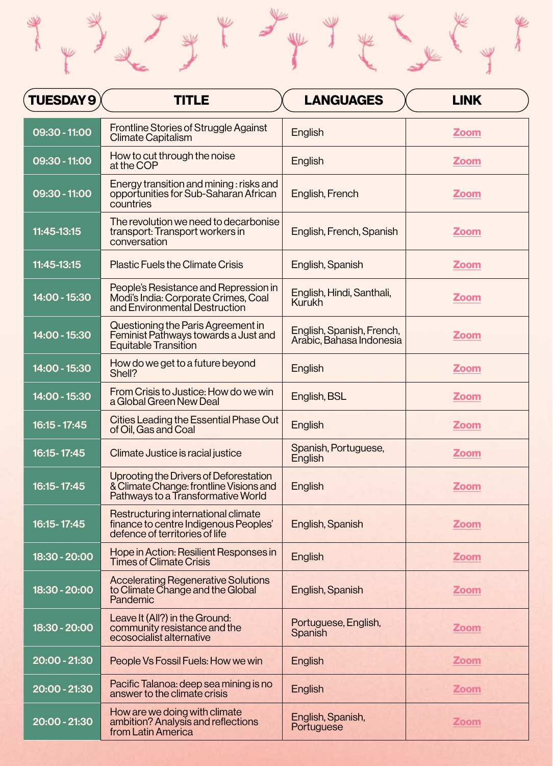| TUESDAY 9     | <b>TITLE</b>                                                                                                            | <b>LANGUAGES</b>                                      | <b>LINK</b> |
|---------------|-------------------------------------------------------------------------------------------------------------------------|-------------------------------------------------------|-------------|
| 09:30 - 11:00 | <b>Frontline Stories of Struggle Against</b><br><b>Climate Capitalism</b>                                               | <b>English</b>                                        | <b>Zoom</b> |
| 09:30 - 11:00 | How to cut through the noise<br>at the COP                                                                              | <b>English</b>                                        | <b>Zoom</b> |
| 09:30 - 11:00 | Energy transition and mining : risks and<br>opportunities for Sub-Saharan African<br>countries                          | English, French                                       | <b>Zoom</b> |
| 11:45-13:15   | The revolution we need to decarbonise<br>transport: Transport workers in<br>conversation                                | English, French, Spanish                              | <b>Zoom</b> |
| 11:45-13:15   | <b>Plastic Fuels the Climate Crisis</b>                                                                                 | English, Spanish                                      | <b>Zoom</b> |
| 14:00 - 15:30 | People's Resistance and Repression in<br>Modi's India: Corporate Crimes, Coal<br>and Environmental Destruction          | English, Hindi, Santhali,<br><b>Kurukh</b>            | <b>Zoom</b> |
| 14:00 - 15:30 | Questioning the Paris Agreement in<br>Feminist Pathways towards a Just and<br><b>Equitable Transition</b>               | English, Spanish, French,<br>Arabic, Bahasa Indonesia | <b>Zoom</b> |
| 14:00 - 15:30 | How do we get to a future beyond<br>Shell?                                                                              | English                                               | <b>Zoom</b> |
| 14:00 - 15:30 | From Crisis to Justice: How do we win<br>a Global Green New Deal                                                        | English, BSL                                          | <b>Zoom</b> |
| 16:15 - 17:45 | Cities Leading the Essential Phase Out<br>of Oil, Gas and Coal                                                          | <b>English</b>                                        | <b>Zoom</b> |
| 16:15-17:45   | Climate Justice is racial justice                                                                                       | Spanish, Portuguese,<br>English                       | <b>Zoom</b> |
| 16:15-17:45   | Uprooting the Drivers of Deforestation<br>& Climate Change: frontline Visions and<br>Pathways to a Transformative World | <b>English</b>                                        | <b>Zoom</b> |
| 16:15-17:45   | Restructuring international climate<br>finance to centre Indigenous Peoples'<br>defence of territories of life          | English, Spanish                                      | <b>Zoom</b> |
| 18:30 - 20:00 | Hope in Action: Resilient Responses in<br><b>Times of Climate Crisis</b>                                                | English                                               | <b>Zoom</b> |
| 18:30 - 20:00 | <b>Accelerating Regenerative Solutions</b><br>to Climate Change and the Global<br>Pandemic                              | English, Spanish                                      | <b>Zoom</b> |
| 18:30 - 20:00 | Leave It (All?) in the Ground:<br>community resistance and the<br>ecosocialist alternative                              | Portuguese, English,<br><b>Spanish</b>                | <b>Zoom</b> |
| 20:00 - 21:30 | People Vs Fossil Fuels: How we win                                                                                      | English                                               | <b>Zoom</b> |
| 20:00 - 21:30 | Pacific Talanoa: deep sea mining is no<br>answer to the climate crisis                                                  | English                                               | <b>Zoom</b> |
| 20:00 - 21:30 | How are we doing with climate<br>ambition? Analysis and reflections<br>from Latin America                               | English, Spanish,<br>Portuguese                       | <b>Zoom</b> |